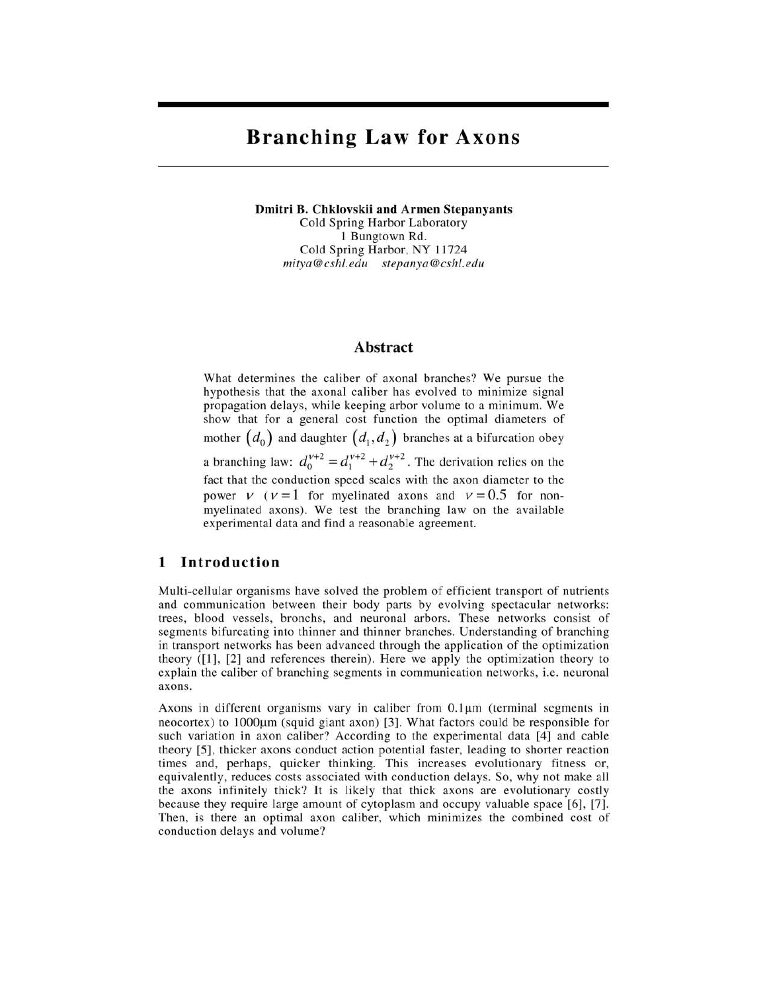# **Branching Law for Axons**

**Dmitri B. Chklovskii and Armen Stepanyants**  Cold Spring Harbor Laboratory 1 Bungtown Rd. Cold Spring Harbor, NY 11724 *mitya@cshl. edu stepanya@cshl.edu* 

### **Abstract**

What determines the caliber of axonal branches? We pursue the hypothesis that the axonal caliber has evolved to minimize signal propagation delays, while keeping arbor volume to a minimum. We show that for a general cost function the optimal diameters of mother  $(d_0)$  and daughter  $(d_1, d_2)$  branches at a bifurcation obey a branching law:  $d_0^{v+2} = d_1^{v+2} + d_2^{v+2}$ . The derivation relies on the fact that the conduction speed scales with the axon diameter to the power  $V$  ( $V = 1$  for myelinated axons and  $V = 0.5$  for nonmyelinated axons). We test the branching law on the available experimental data and find a reasonable agreement.

## **1 Introduction**

Multi-cellular organisms have solved the problem of efficient transport of nutrients and communication between their body parts by evolving spectacular networks: trees, blood vessels, bronchs, and neuronal arbors. These networks consist of segments bifurcating into thinner and thinner branches. Understanding of branching in transport networks has been advanced through the application of the optimization theory ([1], [2] and references therein). Here we apply the optimization theory to explain the caliber of branching segments in communication networks, i.e. neuronal axons.

Axons in different organisms vary in caliber from  $0.1\mu$ m (terminal segments in  $n =$  neocortex) to  $1000 \mu m$  (squid giant axon) [3]. What factors could be responsible for such variation in axon caliber? According to the experimental data [4] and cable theory [5], thicker axons conduct action potential faster, leading to shorter reaction times and, perhaps, quicker thinking. This increases evolutionary fitness or, equivalently, reduces costs associated with conduction delays. So, why not make all the axons infinitely thick? **It** is likely that thick axons are evolutionary costly because they require large amount of cytoplasm and occupy valuable space [6], [7]. Then, is there an optimal axon caliber, which minimizes the combined cost of conduction delays and volume?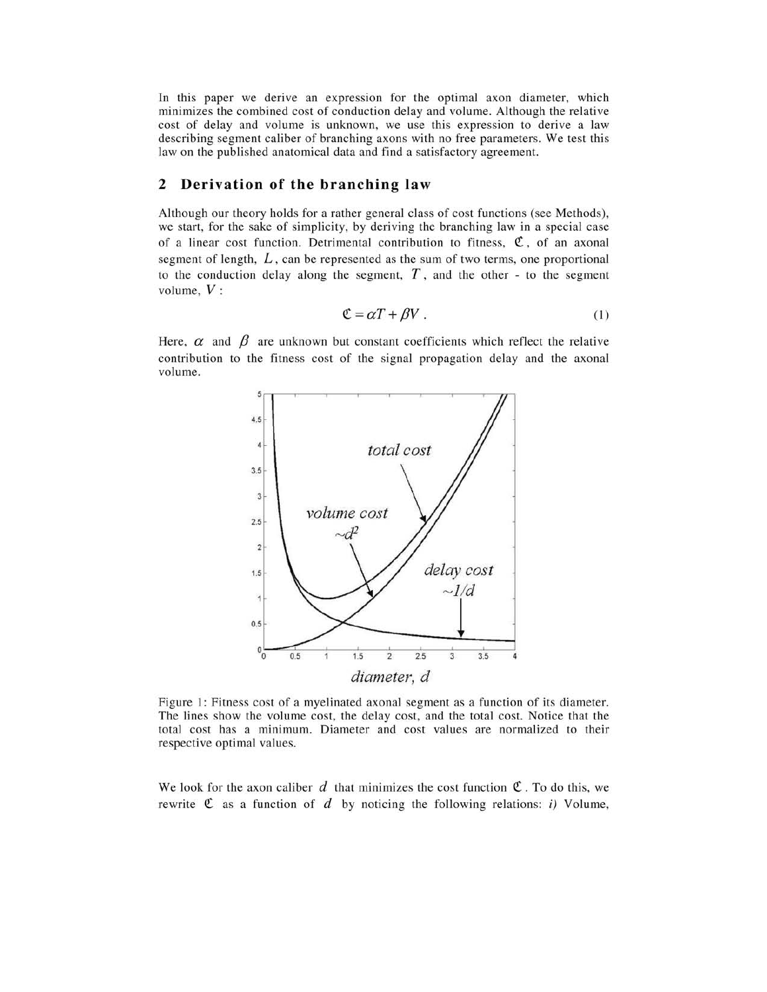**In** this paper we derive an expression for the optimal axon diameter, which minimizes the combined cost of conduction delay and volume. Although the relative cost of delay and volume is unknown, we use this expression to derive a law describing segment caliber of branching axons with no free parameters. We test this law on the published anatomical data and find a satisfactory agreement.

### **2 Derivation of the branching law**

Although our theory holds for a rather general class of cost functions (see Methods), we start, for the sake of simplicity, by deriving the branching law in a special case of a linear cost function. Detrimental contribution to fitness,  $\mathfrak{C}$ , of an axonal segment of length,  $L$ , can be represented as the sum of two terms, one proportional to the conduction delay along the segment,  $T$ , and the other - to the segment volume, *V:* 

$$
\mathfrak{C} = \alpha T + \beta V \tag{1}
$$

Here,  $\alpha$  and  $\beta$  are unknown but constant coefficients which reflect the relative contribution to the fitness cost of the signal propagation delay and the axonal volume.



Figure 1: Fitness cost of a myelinated axonal segment as a function of its diameter. The lines show the volume cost, the delay cost, and the total cost. Notice that the total cost has a minimum. Diameter and cost values are normalized to their respective optimal values.

We look for the axon caliber d that minimizes the cost function  $\mathfrak{C}$ . To do this, we rewrite  $\mathfrak C$  as a function of  $d$  by noticing the following relations: i) Volume,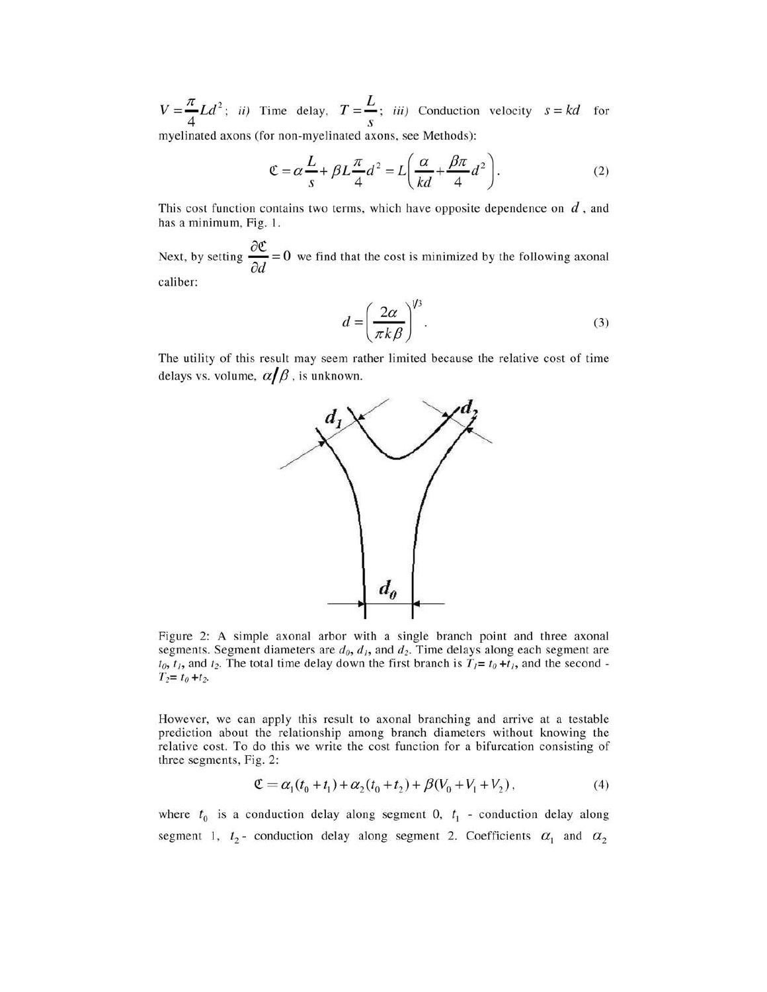$V=\frac{\pi}{4}Ld^2$ ; *ii*) Time delay,  $T=\frac{L}{s}$ ; *iii*) Conduction velocity  $s=kd$  for myelinated axons (for non-myelinated axons, see Methods):

$$
\mathfrak{C} = \alpha \frac{L}{s} + \beta L \frac{\pi}{4} d^2 = L \left( \frac{\alpha}{kd} + \frac{\beta \pi}{4} d^2 \right). \tag{2}
$$

This cost function contains two terms, which have opposite dependence on *d,* and has a minimum, Fig. 1.

Next, by setting  $\frac{\partial \mathfrak{C}}{\partial d} = 0$  we find that the cost is minimized by the following axonal caliber:

$$
d = \left(\frac{2\alpha}{\pi k \beta}\right)^{1/3}.\tag{3}
$$

The utility of this result may seem rather limited because the relative cost of time delays vs. volume,  $\alpha/\beta$ , is unknown.



Figure 2: A simple axonal arbor with a single branch point and three axonal segments. Segment diameters are  $d_0$ ,  $d_1$ , and  $d_2$ . Time delays along each segment are  $t_0$ ,  $t_1$ , and  $t_2$ . The total time delay down the first branch is  $T_1 = t_0 + t_1$ , and the second - $T_2 = t_0 + t_2$ .

However, we can apply this result to axonal branching and arrive at a testable prediction about the relationship among branch diameters without knowing the relative cost. To do this we write the cost function for a bifurcation consisting of three segments, Fig. 2:

$$
\mathfrak{C} = \alpha_1(t_0 + t_1) + \alpha_2(t_0 + t_2) + \beta(V_0 + V_1 + V_2), \tag{4}
$$

where  $t_0$  is a conduction delay along segment 0,  $t_1$  - conduction delay along segment 1,  $t_2$ - conduction delay along segment 2. Coefficients  $\alpha_1$  and  $\alpha_2$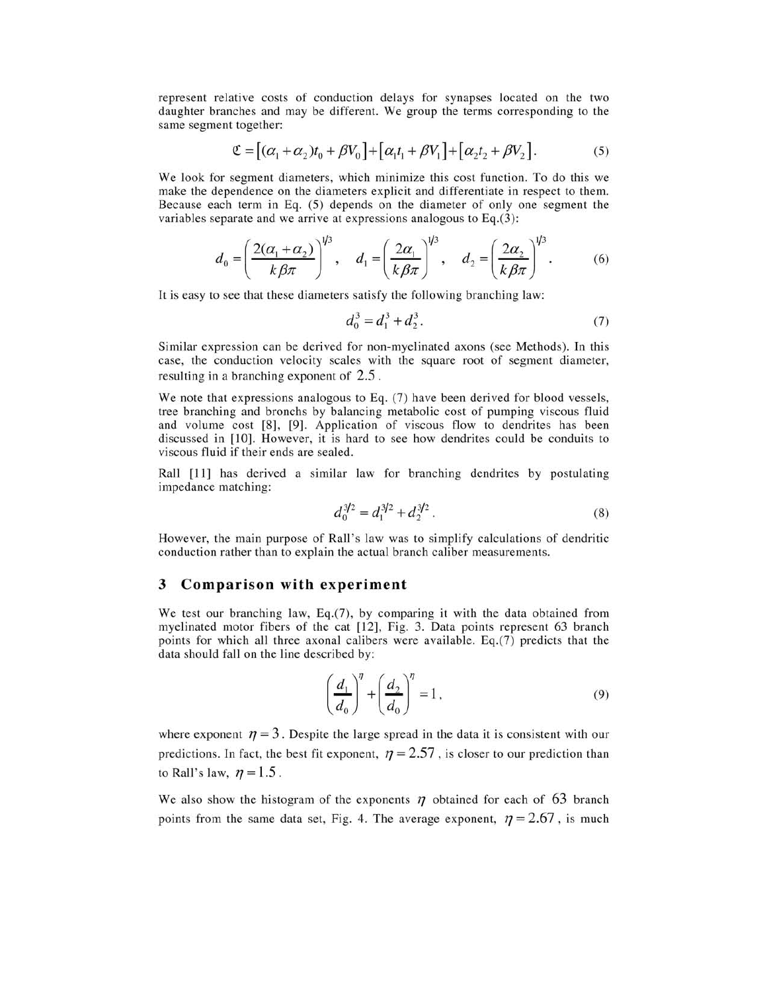represent relative costs of conduction delays for synapses located on the two daughter branches and may be different. We group the terms corresponding to the same segment together:

$$
\mathfrak{C} = [(\alpha_1 + \alpha_2)t_0 + \beta V_0] + [\alpha_1 t_1 + \beta V_1] + [\alpha_2 t_2 + \beta V_2].
$$
\n<sup>(5)</sup>

We look for segment diameters, which minimize this cost function. To do this we make the dependence on the diameters explicit and differentiate in respect to them. Because each term in Eq. (5) depends on the diameter of only one segment the variables separate and we arrive at expressions analogous to Eq.(3):

$$
d_0 = \left(\frac{2(\alpha_1 + \alpha_2)}{k \beta \pi}\right)^{1/3}, \quad d_1 = \left(\frac{2\alpha_1}{k \beta \pi}\right)^{1/3}, \quad d_2 = \left(\frac{2\alpha_2}{k \beta \pi}\right)^{1/3}.
$$
 (6)

It is easy to see that these diameters satisfy the following branching law:

$$
d_0^3 = d_1^3 + d_2^3. \tag{7}
$$

Similar expression can be derived for non-myelinated axons (see Methods). In this case, the conduction velocity scales with the square root of segment diameter, resulting in a branching exponent of 2.5 .

We note that expressions analogous to Eq. (7) have been derived for blood vessels, tree branching and bronchs by balancing metabolic cost of pumping viscous fluid and volume cost [8], [9]. Application of viscous flow to dendrites has been discussed in [10]. However, it is hard to see how dendrites could be conduits to viscous fluid if their ends are sealed.

Rail [11] has derived a similar law for branching dendrites by postulating impedance matching:

$$
d_0^{3/2} = d_1^{3/2} + d_2^{3/2} \,. \tag{8}
$$

However, the main purpose of Rail's law was to simplify calculations of dendritic conduction rather than to explain the actual branch caliber measurements.

#### 3 **Comparison with experiment**

We test our branching law, Eq.(7), by comparing it with the data obtained from myelinated motor fibers of the cat [12], Fig. 3. Data points represent 63 branch points for which all three axonal calibers were available. Eq.(7) predicts that the data should fall on the line described by:

$$
\left(\frac{d_1}{d_0}\right)^{\eta} + \left(\frac{d_2}{d_0}\right)^{\eta} = 1,
$$
\n(9)

where exponent  $\eta = 3$ . Despite the large spread in the data it is consistent with our predictions. In fact, the best fit exponent,  $\eta = 2.57$ , is closer to our prediction than to Rall's law,  $\eta = 1.5$ .

We also show the histogram of the exponents  $\eta$  obtained for each of 63 branch points from the same data set, Fig. 4. The average exponent,  $\eta = 2.67$ , is much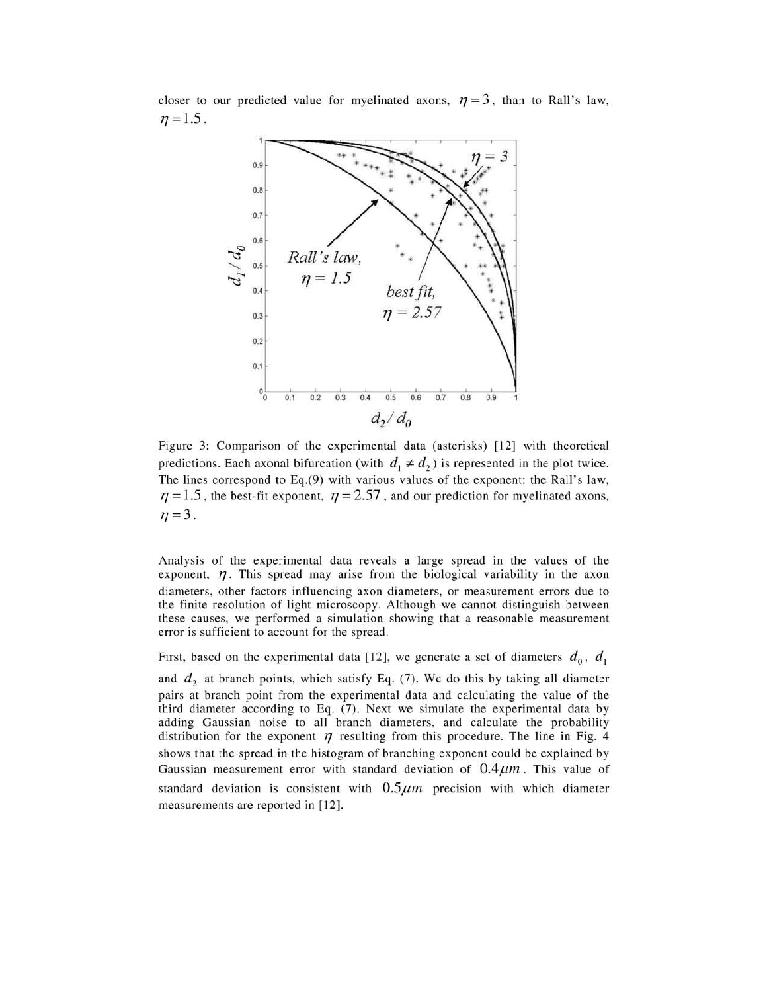closer to our predicted value for myelinated axons,  $\eta = 3$ , than to RaIl's law,  $n = 1.5$ .



Figure 3: Comparison of the experimental data (asterisks) [12] with theoretical predictions. Each axonal bifurcation (with  $d_1 \neq d_2$ ) is represented in the plot twice. The lines correspond to Eq.(9) with various values of the exponent: the RaIl's law,  $\eta = 1.5$ , the best-fit exponent,  $\eta = 2.57$ , and our prediction for myelinated axons,  $\eta = 3$ .

Analysis of the experimental data reveals a large spread in the values of the exponent,  $\eta$ . This spread may arise from the biological variability in the axon diameters, other factors influencing axon diameters, or measurement errors due to the finite resolution of light microscopy. Although we cannot distinguish between these causes, we performed a simulation showing that a reasonable measurement error is sufficient to account for the spread.

First, based on the experimental data [12], we generate a set of diameters  $d_0$ ,  $d_1$ 

and  $d_2$  at branch points, which satisfy Eq. (7). We do this by taking all diameter pairs at branch point from the experimental data and calculating the value of the third diameter according to Eq. (7). Next we simulate the experimental data by adding Gaussian noise to all branch diameters, and calculate the probability distribution for the exponent  $\eta$  resulting from this procedure. The line in Fig. 4 shows that the spread in the histogram of branching exponent could be explained by Gaussian measurement error with standard deviation of  $0.4 \mu m$ . This value of standard deviation is consistent with  $0.5 \mu m$  precision with which diameter measurements are reported in [12].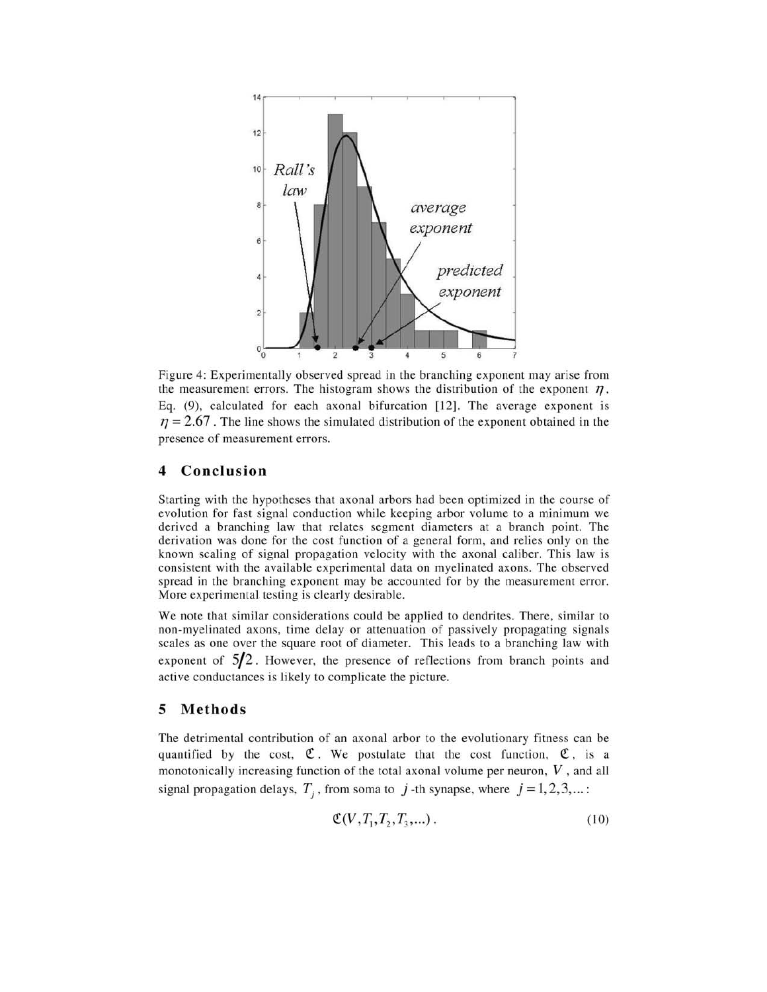

Figure 4: Experimentally observed spread in the branching exponent may arise from the measurement errors. The histogram shows the distribution of the exponent  $\eta$ , Eq. (9), calculated for each axonal bifurcation [12]. The average exponent is  $\eta = 2.67$ . The line shows the simulated distribution of the exponent obtained in the presence of measurement errors.

#### **4 Conclusion**

Starting with the hypotheses that axonal arbors had been optimized in the course of evolution for fast signal conduction while keeping arbor volume to a minimum we derived a branching law that relates segment diameters at a branch point. The derivation was done for the cost function of a general form, and relies only on the known scaling of signal propagation velocity with the axonal caliber. This law is consistent with the available experimental data on myelinated axons. The observed spread in the branching exponent may be accounted for by the measurement error. More experimental testing is clearly desirable.

We note that similar considerations could be applied to dendrites. There, similar to non-myelinated axons, time delay or attenuation of passively propagating signals scales as one over the square root of diameter. This leads to a branching law with exponent of **5/2.** However, the presence of reflections from branch points and active conductances is likely to complicate the picture.

#### **5 Methods**

The detrimental contribution of an axonal arbor to the evolutionary fitness can be quantified by the cost,  $\mathfrak{C}$ . We postulate that the cost function,  $\mathfrak{C}$ , is a monotonically increasing function of the total axonal volume per neuron, *V* , and all signal propagation delays,  $T_i$ , from soma to  $j$ -th synapse, where  $j = 1, 2, 3, ...$ :

$$
\mathfrak{C}(V, T_1, T_2, T_3, \ldots). \tag{10}
$$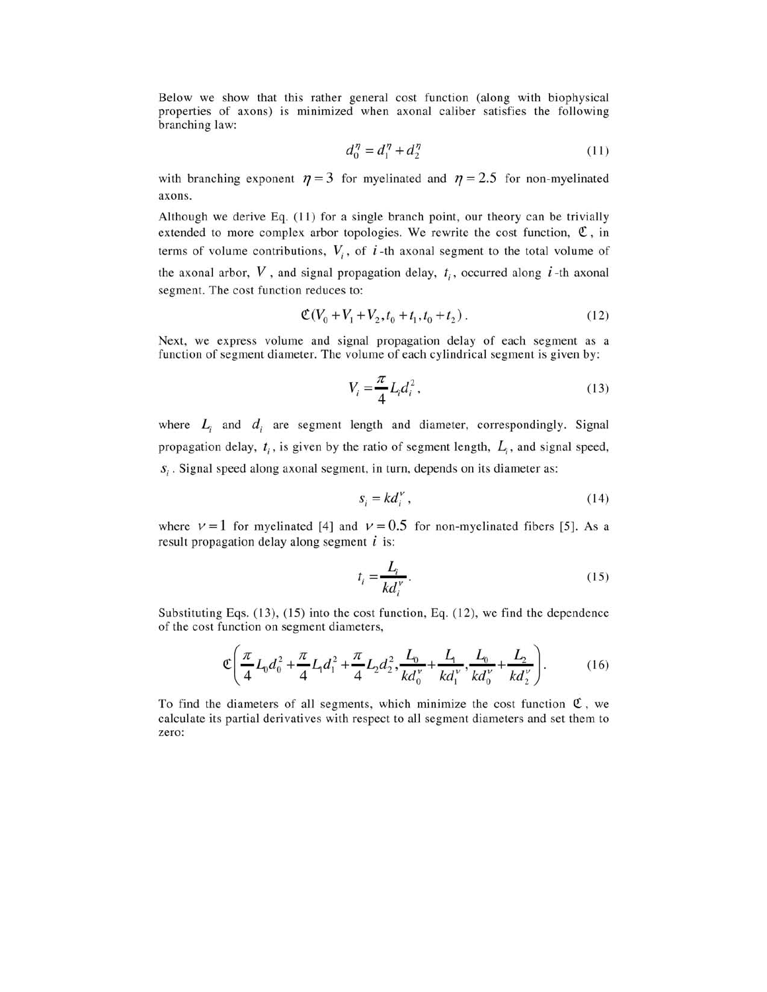Below we show that this rather general cost function (along with biophysical properties of axons) is minimized when axonal caliber satisfies the following branching law:

$$
d_0^{\eta} = d_1^{\eta} + d_2^{\eta} \tag{11}
$$

with branching exponent  $\eta = 3$  for myelinated and  $\eta = 2.5$  for non-myelinated axons.

Although we derive Eq. (11) for a single branch point, our theory can be trivially extended to more complex arbor topologies. We rewrite the cost function,  $\mathfrak{C}$ , in terms of volume contributions,  $V_i$ , of  $i$ -th axonal segment to the total volume of the axonal arbor,  $V$ , and signal propagation delay,  $t_i$ , occurred along  $i$ -th axonal segment. The cost function reduces to:

$$
\mathfrak{C}(V_0 + V_1 + V_2, t_0 + t_1, t_0 + t_2). \tag{12}
$$

Next, we express volume and signal propagation delay of each segment as a function of segment diameter. The volume of each cylindrical segment is given by:

$$
V_i = \frac{\pi}{4} L_i d_i^2, \qquad (13)
$$

where  $L_i$  and  $d_i$  are segment length and diameter, correspondingly. Signal propagation delay,  $t_i$ , is given by the ratio of segment length,  $L_i$ , and signal speed,  $s_i$ . Signal speed along axonal segment, in turn, depends on its diameter as:

$$
s_i = kd_i^{\nu},\tag{14}
$$

where  $V = 1$  for myelinated [4] and  $V = 0.5$  for non-myelinated fibers [5]. As a result propagation delay along segment *i* is:

$$
t_i = \frac{L_i}{kd_i^{\nu}}.\tag{15}
$$

Substituting Eqs. (13), (15) into the cost function, Eq. (12), we find the dependence of the cost function on segment diameters,

$$
\mathfrak{C}\left(\frac{\pi}{4}L_0d_0^2 + \frac{\pi}{4}L_1d_1^2 + \frac{\pi}{4}L_2d_2^2, \frac{L_0}{kd_0^{\nu}} + \frac{L_1}{kd_1^{\nu}}, \frac{L_0}{kd_0^{\nu}} + \frac{L_2}{kd_2^{\nu}}\right).
$$
 (16)

To find the diameters of all segments, which minimize the cost function  $\mathfrak{C}$ , we calculate its partial derivatives with respect to all segment diameters and set them to zero: